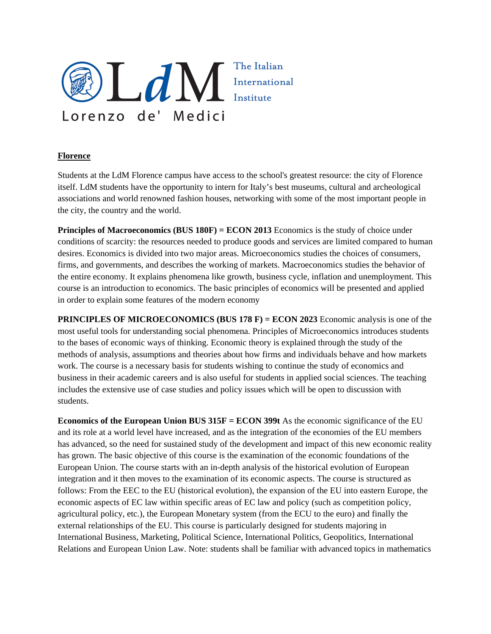

## **Florence**

Students at the LdM Florence campus have access to the school's greatest resource: the city of Florence itself. LdM students have the opportunity to intern for Italy's best museums, cultural and archeological associations and world renowned fashion houses, networking with some of the most important people in the city, the country and the world.

**Principles of Macroeconomics (BUS 180F) = ECON 2013** Economics is the study of choice under conditions of scarcity: the resources needed to produce goods and services are limited compared to human desires. Economics is divided into two major areas. Microeconomics studies the choices of consumers, firms, and governments, and describes the working of markets. Macroeconomics studies the behavior of the entire economy. It explains phenomena like growth, business cycle, inflation and unemployment. This course is an introduction to economics. The basic principles of economics will be presented and applied in order to explain some features of the modern economy

**PRINCIPLES OF MICROECONOMICS (BUS 178 F) = ECON 2023** Economic analysis is one of the most useful tools for understanding social phenomena. Principles of Microeconomics introduces students to the bases of economic ways of thinking. Economic theory is explained through the study of the methods of analysis, assumptions and theories about how firms and individuals behave and how markets work. The course is a necessary basis for students wishing to continue the study of economics and business in their academic careers and is also useful for students in applied social sciences. The teaching includes the extensive use of case studies and policy issues which will be open to discussion with students.

**Economics of the European Union BUS 315F = ECON 399t** As the economic significance of the EU and its role at a world level have increased, and as the integration of the economies of the EU members has advanced, so the need for sustained study of the development and impact of this new economic reality has grown. The basic objective of this course is the examination of the economic foundations of the European Union. The course starts with an in-depth analysis of the historical evolution of European integration and it then moves to the examination of its economic aspects. The course is structured as follows: From the EEC to the EU (historical evolution), the expansion of the EU into eastern Europe, the economic aspects of EC law within specific areas of EC law and policy (such as competition policy, agricultural policy, etc.), the European Monetary system (from the ECU to the euro) and finally the external relationships of the EU. This course is particularly designed for students majoring in International Business, Marketing, Political Science, International Politics, Geopolitics, International Relations and European Union Law. Note: students shall be familiar with advanced topics in mathematics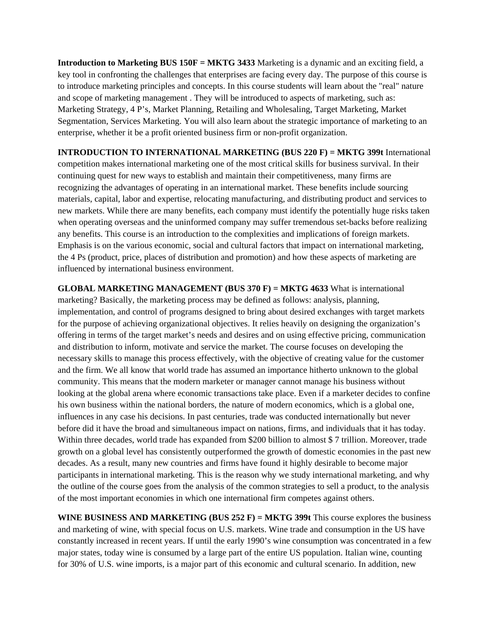**Introduction to Marketing BUS 150F = MKTG 3433** Marketing is a dynamic and an exciting field, a key tool in confronting the challenges that enterprises are facing every day. The purpose of this course is to introduce marketing principles and concepts. In this course students will learn about the "real" nature and scope of marketing management . They will be introduced to aspects of marketing, such as: Marketing Strategy, 4 P's, Market Planning, Retailing and Wholesaling, Target Marketing, Market Segmentation, Services Marketing. You will also learn about the strategic importance of marketing to an enterprise, whether it be a profit oriented business firm or non-profit organization.

**INTRODUCTION TO INTERNATIONAL MARKETING (BUS 220 F) = MKTG 399t** International competition makes international marketing one of the most critical skills for business survival. In their continuing quest for new ways to establish and maintain their competitiveness, many firms are recognizing the advantages of operating in an international market. These benefits include sourcing materials, capital, labor and expertise, relocating manufacturing, and distributing product and services to new markets. While there are many benefits, each company must identify the potentially huge risks taken when operating overseas and the uninformed company may suffer tremendous set-backs before realizing any benefits. This course is an introduction to the complexities and implications of foreign markets. Emphasis is on the various economic, social and cultural factors that impact on international marketing, the 4 Ps (product, price, places of distribution and promotion) and how these aspects of marketing are influenced by international business environment.

**GLOBAL MARKETING MANAGEMENT (BUS 370 F) = MKTG 4633** What is international marketing? Basically, the marketing process may be defined as follows: analysis, planning, implementation, and control of programs designed to bring about desired exchanges with target markets for the purpose of achieving organizational objectives. It relies heavily on designing the organization's offering in terms of the target market's needs and desires and on using effective pricing, communication and distribution to inform, motivate and service the market. The course focuses on developing the necessary skills to manage this process effectively, with the objective of creating value for the customer and the firm. We all know that world trade has assumed an importance hitherto unknown to the global community. This means that the modern marketer or manager cannot manage his business without looking at the global arena where economic transactions take place. Even if a marketer decides to confine his own business within the national borders, the nature of modern economics, which is a global one, influences in any case his decisions. In past centuries, trade was conducted internationally but never before did it have the broad and simultaneous impact on nations, firms, and individuals that it has today. Within three decades, world trade has expanded from \$200 billion to almost \$7 trillion. Moreover, trade growth on a global level has consistently outperformed the growth of domestic economies in the past new decades. As a result, many new countries and firms have found it highly desirable to become major participants in international marketing. This is the reason why we study international marketing, and why the outline of the course goes from the analysis of the common strategies to sell a product, to the analysis of the most important economies in which one international firm competes against others.

**WINE BUSINESS AND MARKETING (BUS 252 F) = MKTG 399t** This course explores the business and marketing of wine, with special focus on U.S. markets. Wine trade and consumption in the US have constantly increased in recent years. If until the early 1990's wine consumption was concentrated in a few major states, today wine is consumed by a large part of the entire US population. Italian wine, counting for 30% of U.S. wine imports, is a major part of this economic and cultural scenario. In addition, new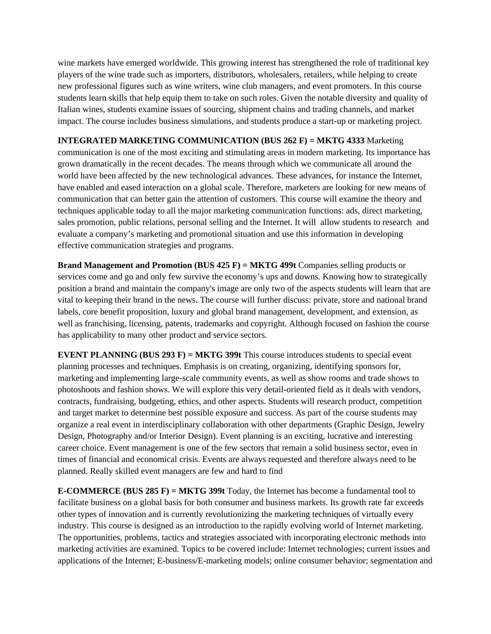wine markets have emerged worldwide. This growing interest has strengthened the role of traditional key players of the wine trade such as importers, distributors, wholesalers, retailers, while helping to create new professional figures such as wine writers, wine club managers, and event promoters. In this course students learn skills that help equip them to take on such roles. Given the notable diversity and quality of Italian wines, students examine issues of sourcing, shipment chains and trading channels, and market impact. The course includes business simulations, and students produce a start-up or marketing project.

# **INTEGRATED MARKETING COMMUNICATION (BUS 262 F) = MKTG 4333** Marketing

communication is one of the most exciting and stimulating areas in modern marketing. Its importance has grown dramatically in the recent decades. The means through which we communicate all around the world have been affected by the new technological advances. These advances, for instance the Internet, have enabled and eased interaction on a global scale. Therefore, marketers are looking for new means of communication that can better gain the attention of customers. This course will examine the theory and techniques applicable today to all the major marketing communication functions: ads, direct marketing, sales promotion, public relations, personal selling and the Internet. It will allow students to research and evaluate a company's marketing and promotional situation and use this information in developing effective communication strategies and programs.

**Brand Management and Promotion (BUS 425 F) = MKTG 499t** Companies selling products or services come and go and only few survive the economy's ups and downs. Knowing how to strategically position a brand and maintain the company's image are only two of the aspects students will learn that are vital to keeping their brand in the news. The course will further discuss: private, store and national brand labels, core benefit proposition, luxury and global brand management, development, and extension, as well as franchising, licensing, patents, trademarks and copyright. Although focused on fashion the course has applicability to many other product and service sectors.

**EVENT PLANNING (BUS 293 F) = MKTG 399t** This course introduces students to special event planning processes and techniques. Emphasis is on creating, organizing, identifying sponsors for, marketing and implementing large-scale community events, as well as show rooms and trade shows to photoshoots and fashion shows. We will explore this very detail-oriented field as it deals with vendors, contracts, fundraising, budgeting, ethics, and other aspects. Students will research product, competition and target market to determine best possible exposure and success. As part of the course students may organize a real event in interdisciplinary collaboration with other departments (Graphic Design, Jewelry Design, Photography and/or Interior Design). Event planning is an exciting, lucrative and interesting career choice. Event management is one of the few sectors that remain a solid business sector, even in times of financial and economical crisis. Events are always requested and therefore always need to be planned. Really skilled event managers are few and hard to find

**E-COMMERCE (BUS 285 F) = MKTG 399t** Today, the Internet has become a fundamental tool to facilitate business on a global basis for both consumer and business markets. Its growth rate far exceeds other types of innovation and is currently revolutionizing the marketing techniques of virtually every industry. This course is designed as an introduction to the rapidly evolving world of Internet marketing. The opportunities, problems, tactics and strategies associated with incorporating electronic methods into marketing activities are examined. Topics to be covered include: Internet technologies; current issues and applications of the Internet; E-business/E-marketing models; online consumer behavior; segmentation and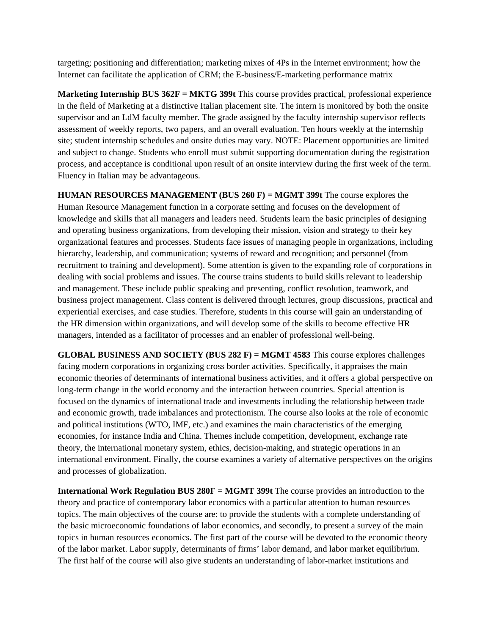targeting; positioning and differentiation; marketing mixes of 4Ps in the Internet environment; how the Internet can facilitate the application of CRM; the E-business/E-marketing performance matrix

**Marketing Internship BUS 362F = MKTG 399t** This course provides practical, professional experience in the field of Marketing at a distinctive Italian placement site. The intern is monitored by both the onsite supervisor and an LdM faculty member. The grade assigned by the faculty internship supervisor reflects assessment of weekly reports, two papers, and an overall evaluation. Ten hours weekly at the internship site; student internship schedules and onsite duties may vary. NOTE: Placement opportunities are limited and subject to change. Students who enroll must submit supporting documentation during the registration process, and acceptance is conditional upon result of an onsite interview during the first week of the term. Fluency in Italian may be advantageous.

**HUMAN RESOURCES MANAGEMENT (BUS 260 F) = MGMT 399t** The course explores the Human Resource Management function in a corporate setting and focuses on the development of knowledge and skills that all managers and leaders need. Students learn the basic principles of designing and operating business organizations, from developing their mission, vision and strategy to their key organizational features and processes. Students face issues of managing people in organizations, including hierarchy, leadership, and communication; systems of reward and recognition; and personnel (from recruitment to training and development). Some attention is given to the expanding role of corporations in dealing with social problems and issues. The course trains students to build skills relevant to leadership and management. These include public speaking and presenting, conflict resolution, teamwork, and business project management. Class content is delivered through lectures, group discussions, practical and experiential exercises, and case studies. Therefore, students in this course will gain an understanding of the HR dimension within organizations, and will develop some of the skills to become effective HR managers, intended as a facilitator of processes and an enabler of professional well-being.

**GLOBAL BUSINESS AND SOCIETY (BUS 282 F) = MGMT 4583** This course explores challenges facing modern corporations in organizing cross border activities. Specifically, it appraises the main economic theories of determinants of international business activities, and it offers a global perspective on long-term change in the world economy and the interaction between countries. Special attention is focused on the dynamics of international trade and investments including the relationship between trade and economic growth, trade imbalances and protectionism. The course also looks at the role of economic and political institutions (WTO, IMF, etc.) and examines the main characteristics of the emerging economies, for instance India and China. Themes include competition, development, exchange rate theory, the international monetary system, ethics, decision-making, and strategic operations in an international environment. Finally, the course examines a variety of alternative perspectives on the origins and processes of globalization.

**International Work Regulation BUS 280F = MGMT 399t** The course provides an introduction to the theory and practice of contemporary labor economics with a particular attention to human resources topics. The main objectives of the course are: to provide the students with a complete understanding of the basic microeconomic foundations of labor economics, and secondly, to present a survey of the main topics in human resources economics. The first part of the course will be devoted to the economic theory of the labor market. Labor supply, determinants of firms' labor demand, and labor market equilibrium. The first half of the course will also give students an understanding of labor-market institutions and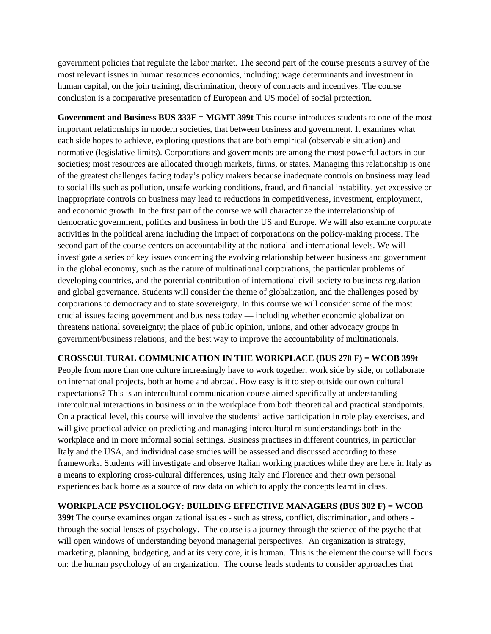government policies that regulate the labor market. The second part of the course presents a survey of the most relevant issues in human resources economics, including: wage determinants and investment in human capital, on the join training, discrimination, theory of contracts and incentives. The course conclusion is a comparative presentation of European and US model of social protection.

**Government and Business BUS 333F = MGMT 399t** This course introduces students to one of the most important relationships in modern societies, that between business and government. It examines what each side hopes to achieve, exploring questions that are both empirical (observable situation) and normative (legislative limits). Corporations and governments are among the most powerful actors in our societies; most resources are allocated through markets, firms, or states. Managing this relationship is one of the greatest challenges facing today's policy makers because inadequate controls on business may lead to social ills such as pollution, unsafe working conditions, fraud, and financial instability, yet excessive or inappropriate controls on business may lead to reductions in competitiveness, investment, employment, and economic growth. In the first part of the course we will characterize the interrelationship of democratic government, politics and business in both the US and Europe. We will also examine corporate activities in the political arena including the impact of corporations on the policy-making process. The second part of the course centers on accountability at the national and international levels. We will investigate a series of key issues concerning the evolving relationship between business and government in the global economy, such as the nature of multinational corporations, the particular problems of developing countries, and the potential contribution of international civil society to business regulation and global governance. Students will consider the theme of globalization, and the challenges posed by corporations to democracy and to state sovereignty. In this course we will consider some of the most crucial issues facing government and business today — including whether economic globalization threatens national sovereignty; the place of public opinion, unions, and other advocacy groups in government/business relations; and the best way to improve the accountability of multinationals.

### **CROSSCULTURAL COMMUNICATION IN THE WORKPLACE (BUS 270 F) = WCOB 399t**

People from more than one culture increasingly have to work together, work side by side, or collaborate on international projects, both at home and abroad. How easy is it to step outside our own cultural expectations? This is an intercultural communication course aimed specifically at understanding intercultural interactions in business or in the workplace from both theoretical and practical standpoints. On a practical level, this course will involve the students' active participation in role play exercises, and will give practical advice on predicting and managing intercultural misunderstandings both in the workplace and in more informal social settings. Business practises in different countries, in particular Italy and the USA, and individual case studies will be assessed and discussed according to these frameworks. Students will investigate and observe Italian working practices while they are here in Italy as a means to exploring cross-cultural differences, using Italy and Florence and their own personal experiences back home as a source of raw data on which to apply the concepts learnt in class.

### **WORKPLACE PSYCHOLOGY: BUILDING EFFECTIVE MANAGERS (BUS 302 F) = WCOB**

**399t** The course examines organizational issues - such as stress, conflict, discrimination, and others through the social lenses of psychology. The course is a journey through the science of the psyche that will open windows of understanding beyond managerial perspectives. An organization is strategy, marketing, planning, budgeting, and at its very core, it is human. This is the element the course will focus on: the human psychology of an organization. The course leads students to consider approaches that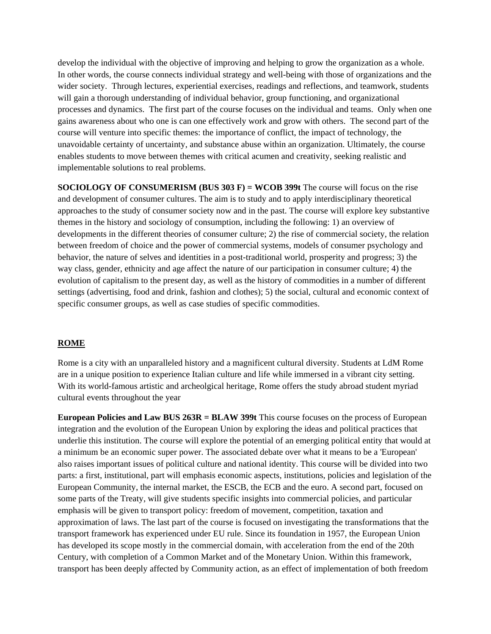develop the individual with the objective of improving and helping to grow the organization as a whole. In other words, the course connects individual strategy and well-being with those of organizations and the wider society. Through lectures, experiential exercises, readings and reflections, and teamwork, students will gain a thorough understanding of individual behavior, group functioning, and organizational processes and dynamics. The first part of the course focuses on the individual and teams. Only when one gains awareness about who one is can one effectively work and grow with others. The second part of the course will venture into specific themes: the importance of conflict, the impact of technology, the unavoidable certainty of uncertainty, and substance abuse within an organization. Ultimately, the course enables students to move between themes with critical acumen and creativity, seeking realistic and implementable solutions to real problems.

**SOCIOLOGY OF CONSUMERISM (BUS 303 F) = WCOB 399t** The course will focus on the rise and development of consumer cultures. The aim is to study and to apply interdisciplinary theoretical approaches to the study of consumer society now and in the past. The course will explore key substantive themes in the history and sociology of consumption, including the following: 1) an overview of developments in the different theories of consumer culture; 2) the rise of commercial society, the relation between freedom of choice and the power of commercial systems, models of consumer psychology and behavior, the nature of selves and identities in a post-traditional world, prosperity and progress; 3) the way class, gender, ethnicity and age affect the nature of our participation in consumer culture; 4) the evolution of capitalism to the present day, as well as the history of commodities in a number of different settings (advertising, food and drink, fashion and clothes); 5) the social, cultural and economic context of specific consumer groups, as well as case studies of specific commodities.

### **ROME**

Rome is a city with an unparalleled history and a magnificent cultural diversity. Students at LdM Rome are in a unique position to experience Italian culture and life while immersed in a vibrant city setting. With its world-famous artistic and archeolgical heritage, Rome offers the study abroad student myriad cultural events throughout the year

**European Policies and Law BUS 263R = BLAW 399t** This course focuses on the process of European integration and the evolution of the European Union by exploring the ideas and political practices that underlie this institution. The course will explore the potential of an emerging political entity that would at a minimum be an economic super power. The associated debate over what it means to be a 'European' also raises important issues of political culture and national identity. This course will be divided into two parts: a first, institutional, part will emphasis economic aspects, institutions, policies and legislation of the European Community, the internal market, the ESCB, the ECB and the euro. A second part, focused on some parts of the Treaty, will give students specific insights into commercial policies, and particular emphasis will be given to transport policy: freedom of movement, competition, taxation and approximation of laws. The last part of the course is focused on investigating the transformations that the transport framework has experienced under EU rule. Since its foundation in 1957, the European Union has developed its scope mostly in the commercial domain, with acceleration from the end of the 20th Century, with completion of a Common Market and of the Monetary Union. Within this framework, transport has been deeply affected by Community action, as an effect of implementation of both freedom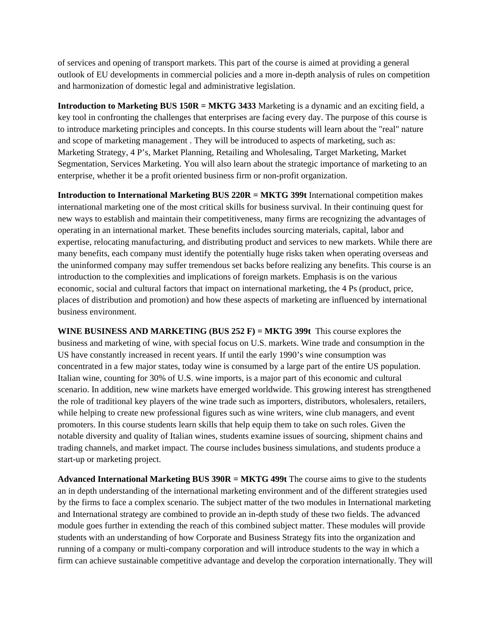of services and opening of transport markets. This part of the course is aimed at providing a general outlook of EU developments in commercial policies and a more in-depth analysis of rules on competition and harmonization of domestic legal and administrative legislation.

**Introduction to Marketing BUS 150R = MKTG 3433** Marketing is a dynamic and an exciting field, a key tool in confronting the challenges that enterprises are facing every day. The purpose of this course is to introduce marketing principles and concepts. In this course students will learn about the "real" nature and scope of marketing management . They will be introduced to aspects of marketing, such as: Marketing Strategy, 4 P's, Market Planning, Retailing and Wholesaling, Target Marketing, Market Segmentation, Services Marketing. You will also learn about the strategic importance of marketing to an enterprise, whether it be a profit oriented business firm or non-profit organization.

**Introduction to International Marketing BUS 220R = MKTG 399t** International competition makes international marketing one of the most critical skills for business survival. In their continuing quest for new ways to establish and maintain their competitiveness, many firms are recognizing the advantages of operating in an international market. These benefits includes sourcing materials, capital, labor and expertise, relocating manufacturing, and distributing product and services to new markets. While there are many benefits, each company must identify the potentially huge risks taken when operating overseas and the uninformed company may suffer tremendous set backs before realizing any benefits. This course is an introduction to the complexities and implications of foreign markets. Emphasis is on the various economic, social and cultural factors that impact on international marketing, the 4 Ps (product, price, places of distribution and promotion) and how these aspects of marketing are influenced by international business environment.

**WINE BUSINESS AND MARKETING (BUS 252 F) = MKTG 399t** This course explores the business and marketing of wine, with special focus on U.S. markets. Wine trade and consumption in the US have constantly increased in recent years. If until the early 1990's wine consumption was concentrated in a few major states, today wine is consumed by a large part of the entire US population. Italian wine, counting for 30% of U.S. wine imports, is a major part of this economic and cultural scenario. In addition, new wine markets have emerged worldwide. This growing interest has strengthened the role of traditional key players of the wine trade such as importers, distributors, wholesalers, retailers, while helping to create new professional figures such as wine writers, wine club managers, and event promoters. In this course students learn skills that help equip them to take on such roles. Given the notable diversity and quality of Italian wines, students examine issues of sourcing, shipment chains and trading channels, and market impact. The course includes business simulations, and students produce a start-up or marketing project.

**Advanced International Marketing BUS 390R = MKTG 499t** The course aims to give to the students an in depth understanding of the international marketing environment and of the different strategies used by the firms to face a complex scenario. The subject matter of the two modules in International marketing and International strategy are combined to provide an in-depth study of these two fields. The advanced module goes further in extending the reach of this combined subject matter. These modules will provide students with an understanding of how Corporate and Business Strategy fits into the organization and running of a company or multi-company corporation and will introduce students to the way in which a firm can achieve sustainable competitive advantage and develop the corporation internationally. They will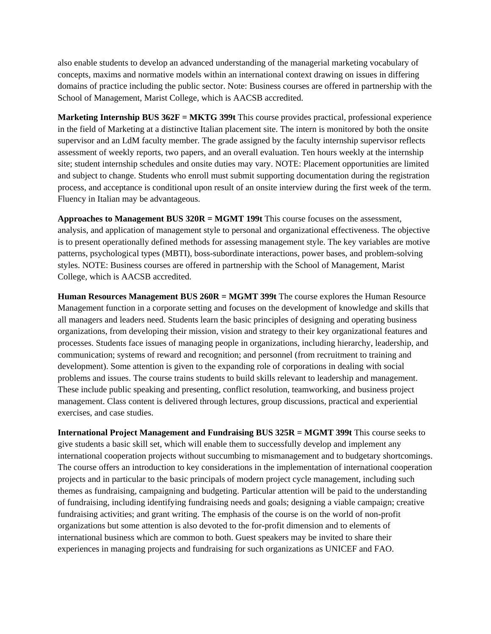also enable students to develop an advanced understanding of the managerial marketing vocabulary of concepts, maxims and normative models within an international context drawing on issues in differing domains of practice including the public sector. Note: Business courses are offered in partnership with the School of Management, Marist College, which is AACSB accredited.

**Marketing Internship BUS 362F = MKTG 399t** This course provides practical, professional experience in the field of Marketing at a distinctive Italian placement site. The intern is monitored by both the onsite supervisor and an LdM faculty member. The grade assigned by the faculty internship supervisor reflects assessment of weekly reports, two papers, and an overall evaluation. Ten hours weekly at the internship site; student internship schedules and onsite duties may vary. NOTE: Placement opportunities are limited and subject to change. Students who enroll must submit supporting documentation during the registration process, and acceptance is conditional upon result of an onsite interview during the first week of the term. Fluency in Italian may be advantageous.

**Approaches to Management BUS 320R = MGMT 199t** This course focuses on the assessment, analysis, and application of management style to personal and organizational effectiveness. The objective is to present operationally defined methods for assessing management style. The key variables are motive patterns, psychological types (MBTI), boss-subordinate interactions, power bases, and problem-solving styles. NOTE: Business courses are offered in partnership with the School of Management, Marist College, which is AACSB accredited.

**Human Resources Management BUS 260R = MGMT 399t** The course explores the Human Resource Management function in a corporate setting and focuses on the development of knowledge and skills that all managers and leaders need. Students learn the basic principles of designing and operating business organizations, from developing their mission, vision and strategy to their key organizational features and processes. Students face issues of managing people in organizations, including hierarchy, leadership, and communication; systems of reward and recognition; and personnel (from recruitment to training and development). Some attention is given to the expanding role of corporations in dealing with social problems and issues. The course trains students to build skills relevant to leadership and management. These include public speaking and presenting, conflict resolution, teamworking, and business project management. Class content is delivered through lectures, group discussions, practical and experiential exercises, and case studies.

**International Project Management and Fundraising BUS 325R = MGMT 399t** This course seeks to give students a basic skill set, which will enable them to successfully develop and implement any international cooperation projects without succumbing to mismanagement and to budgetary shortcomings. The course offers an introduction to key considerations in the implementation of international cooperation projects and in particular to the basic principals of modern project cycle management, including such themes as fundraising, campaigning and budgeting. Particular attention will be paid to the understanding of fundraising, including identifying fundraising needs and goals; designing a viable campaign; creative fundraising activities; and grant writing. The emphasis of the course is on the world of non-profit organizations but some attention is also devoted to the for-profit dimension and to elements of international business which are common to both. Guest speakers may be invited to share their experiences in managing projects and fundraising for such organizations as UNICEF and FAO.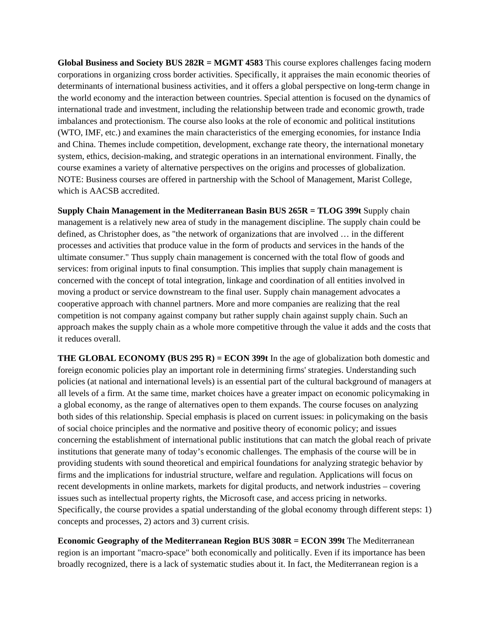**Global Business and Society BUS 282R = MGMT 4583** This course explores challenges facing modern corporations in organizing cross border activities. Specifically, it appraises the main economic theories of determinants of international business activities, and it offers a global perspective on long-term change in the world economy and the interaction between countries. Special attention is focused on the dynamics of international trade and investment, including the relationship between trade and economic growth, trade imbalances and protectionism. The course also looks at the role of economic and political institutions (WTO, IMF, etc.) and examines the main characteristics of the emerging economies, for instance India and China. Themes include competition, development, exchange rate theory, the international monetary system, ethics, decision-making, and strategic operations in an international environment. Finally, the course examines a variety of alternative perspectives on the origins and processes of globalization. NOTE: Business courses are offered in partnership with the School of Management, Marist College, which is AACSB accredited.

**Supply Chain Management in the Mediterranean Basin BUS 265R = TLOG 399t** Supply chain management is a relatively new area of study in the management discipline. The supply chain could be defined, as Christopher does, as "the network of organizations that are involved … in the different processes and activities that produce value in the form of products and services in the hands of the ultimate consumer." Thus supply chain management is concerned with the total flow of goods and services: from original inputs to final consumption. This implies that supply chain management is concerned with the concept of total integration, linkage and coordination of all entities involved in moving a product or service downstream to the final user. Supply chain management advocates a cooperative approach with channel partners. More and more companies are realizing that the real competition is not company against company but rather supply chain against supply chain. Such an approach makes the supply chain as a whole more competitive through the value it adds and the costs that it reduces overall.

**THE GLOBAL ECONOMY (BUS 295 R) = ECON 399t** In the age of globalization both domestic and foreign economic policies play an important role in determining firms' strategies. Understanding such policies (at national and international levels) is an essential part of the cultural background of managers at all levels of a firm. At the same time, market choices have a greater impact on economic policymaking in a global economy, as the range of alternatives open to them expands. The course focuses on analyzing both sides of this relationship. Special emphasis is placed on current issues: in policymaking on the basis of social choice principles and the normative and positive theory of economic policy; and issues concerning the establishment of international public institutions that can match the global reach of private institutions that generate many of today's economic challenges. The emphasis of the course will be in providing students with sound theoretical and empirical foundations for analyzing strategic behavior by firms and the implications for industrial structure, welfare and regulation. Applications will focus on recent developments in online markets, markets for digital products, and network industries – covering issues such as intellectual property rights, the Microsoft case, and access pricing in networks. Specifically, the course provides a spatial understanding of the global economy through different steps: 1) concepts and processes, 2) actors and 3) current crisis.

**Economic Geography of the Mediterranean Region BUS 308R = ECON 399t** The Mediterranean region is an important "macro-space" both economically and politically. Even if its importance has been broadly recognized, there is a lack of systematic studies about it. In fact, the Mediterranean region is a